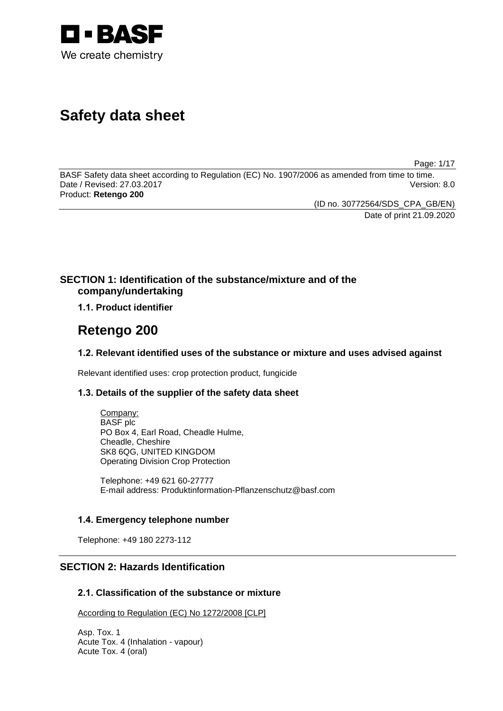

# **Safety data sheet**

Page: 1/17

BASF Safety data sheet according to Regulation (EC) No. 1907/2006 as amended from time to time. Date / Revised: 27.03.2017 Version: 8.0 Product: **Retengo 200**

(ID no. 30772564/SDS\_CPA\_GB/EN)

Date of print 21.09.2020

### **SECTION 1: Identification of the substance/mixture and of the company/undertaking**

**1.1. Product identifier**

## **Retengo 200**

### **1.2. Relevant identified uses of the substance or mixture and uses advised against**

Relevant identified uses: crop protection product, fungicide

### **1.3. Details of the supplier of the safety data sheet**

Company: BASF plc PO Box 4, Earl Road, Cheadle Hulme, Cheadle, Cheshire SK8 6QG, UNITED KINGDOM Operating Division Crop Protection

Telephone: +49 621 60-27777 E-mail address: Produktinformation-Pflanzenschutz@basf.com

### **1.4. Emergency telephone number**

Telephone: +49 180 2273-112

### **SECTION 2: Hazards Identification**

### **2.1. Classification of the substance or mixture**

According to Regulation (EC) No 1272/2008 [CLP]

Asp. Tox. 1 Acute Tox. 4 (Inhalation - vapour) Acute Tox. 4 (oral)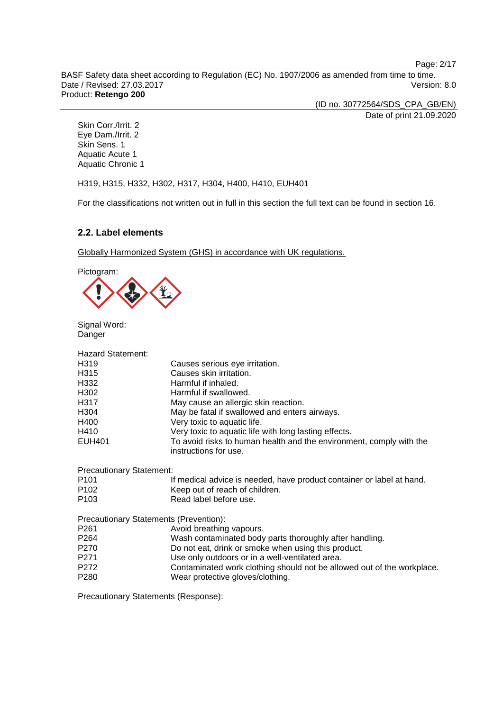Page: 2/17

BASF Safety data sheet according to Regulation (EC) No. 1907/2006 as amended from time to time. Date / Revised: 27.03.2017 Version: 8.0 Product: **Retengo 200**

(ID no. 30772564/SDS\_CPA\_GB/EN) Date of print 21.09.2020

Skin Corr./Irrit. 2 Eye Dam./Irrit. 2 Skin Sens. 1 Aquatic Acute 1 Aquatic Chronic 1

H319, H315, H332, H302, H317, H304, H400, H410, EUH401

For the classifications not written out in full in this section the full text can be found in section 16.

### **2.2. Label elements**

Globally Harmonized System (GHS) in accordance with UK regulations.

Pictogram:



Signal Word: Danger

| <b>Hazard Statement:</b>        |                                                                                              |
|---------------------------------|----------------------------------------------------------------------------------------------|
| H319                            | Causes serious eye irritation.                                                               |
| H315                            | Causes skin irritation.                                                                      |
| H332                            | Harmful if inhaled.                                                                          |
| H302                            | Harmful if swallowed.                                                                        |
| H317                            | May cause an allergic skin reaction.                                                         |
| H304                            | May be fatal if swallowed and enters airways.                                                |
| H400                            | Very toxic to aquatic life.                                                                  |
| H410                            | Very toxic to aquatic life with long lasting effects.                                        |
| <b>EUH401</b>                   | To avoid risks to human health and the environment, comply with the<br>instructions for use. |
| <b>Precautionary Statement:</b> |                                                                                              |
| P <sub>101</sub>                | If medical advice is needed, have product container or label at hand.                        |
| P <sub>102</sub>                | Keep out of reach of children.                                                               |
| P <sub>103</sub>                | Read label before use.                                                                       |
|                                 | Precautionary Statements (Prevention):                                                       |
| P <sub>261</sub>                | Avoid breathing vapours.                                                                     |
| P <sub>264</sub>                | Wash contaminated body parts thoroughly after handling.                                      |
| P270                            | Do not eat, drink or smoke when using this product.                                          |
| P271                            | Use only outdoors or in a well-ventilated area.                                              |
| P272                            | Contaminated work clothing should not be allowed out of the workplace.                       |
| P280                            | Wear protective gloves/clothing.                                                             |
|                                 |                                                                                              |

Precautionary Statements (Response):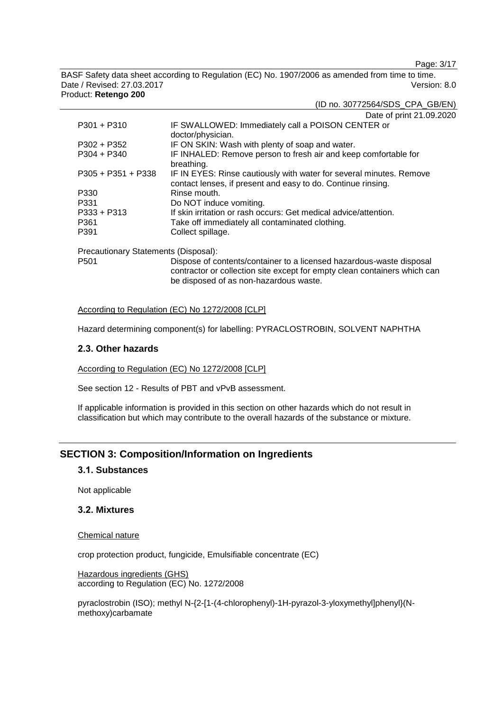Page: 3/17

(ID no. 30772564/SDS\_CPA\_GB/EN)

BASF Safety data sheet according to Regulation (EC) No. 1907/2006 as amended from time to time. Date / Revised: 27.03.2017 Version: 8.0 Product: **Retengo 200**

|                                      | Date of print 21.09.2020                                                                                                            |
|--------------------------------------|-------------------------------------------------------------------------------------------------------------------------------------|
| P301 + P310                          | IF SWALLOWED: Immediately call a POISON CENTER or<br>doctor/physician.                                                              |
| P302 + P352                          | IF ON SKIN: Wash with plenty of soap and water.                                                                                     |
| P304 + P340                          | IF INHALED: Remove person to fresh air and keep comfortable for<br>breathing.                                                       |
| P305 + P351 + P338                   | IF IN EYES: Rinse cautiously with water for several minutes. Remove<br>contact lenses, if present and easy to do. Continue rinsing. |
| P330                                 | Rinse mouth.                                                                                                                        |
| P331                                 | Do NOT induce vomiting.                                                                                                             |
| P333 + P313                          | If skin irritation or rash occurs: Get medical advice/attention.                                                                    |
| P361                                 | Take off immediately all contaminated clothing.                                                                                     |
| P391                                 | Collect spillage.                                                                                                                   |
| Precautionary Statements (Disposal): |                                                                                                                                     |

P501 Dispose of contents/container to a licensed hazardous-waste disposal contractor or collection site except for empty clean containers which can be disposed of as non-hazardous waste.

#### According to Regulation (EC) No 1272/2008 [CLP]

Hazard determining component(s) for labelling: PYRACLOSTROBIN, SOLVENT NAPHTHA

#### **2.3. Other hazards**

According to Regulation (EC) No 1272/2008 [CLP]

See section 12 - Results of PBT and vPvB assessment.

If applicable information is provided in this section on other hazards which do not result in classification but which may contribute to the overall hazards of the substance or mixture.

### **SECTION 3: Composition/Information on Ingredients**

### **3.1. Substances**

Not applicable

### **3.2. Mixtures**

Chemical nature

crop protection product, fungicide, Emulsifiable concentrate (EC)

Hazardous ingredients (GHS) according to Regulation (EC) No. 1272/2008

pyraclostrobin (ISO); methyl N-{2-[1-(4-chlorophenyl)-1H-pyrazol-3-yloxymethyl]phenyl}(Nmethoxy)carbamate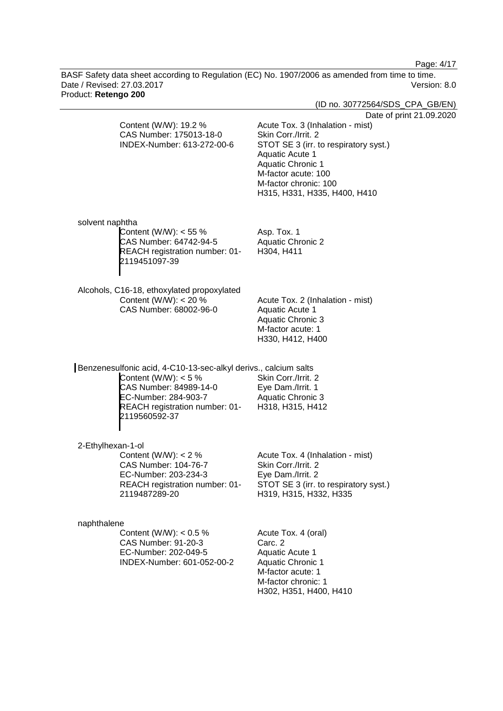Page: 4/17

BASF Safety data sheet according to Regulation (EC) No. 1907/2006 as amended from time to time. Date / Revised: 27.03.2017 Version: 8.0 Product: **Retengo 200**

| TUUUCL KELENYO ZUU                                                                                                                                                                             | (ID no. 30772564/SDS_CPA_GB/EN)                                                                                                                                                                                                                             |
|------------------------------------------------------------------------------------------------------------------------------------------------------------------------------------------------|-------------------------------------------------------------------------------------------------------------------------------------------------------------------------------------------------------------------------------------------------------------|
| Content (W/W): 19.2 %<br>CAS Number: 175013-18-0<br>INDEX-Number: 613-272-00-6                                                                                                                 | Date of print 21.09.2020<br>Acute Tox. 3 (Inhalation - mist)<br>Skin Corr./Irrit. 2<br>STOT SE 3 (irr. to respiratory syst.)<br>Aquatic Acute 1<br><b>Aquatic Chronic 1</b><br>M-factor acute: 100<br>M-factor chronic: 100<br>H315, H331, H335, H400, H410 |
| solvent naphtha<br>Content (W/W): $<$ 55 %<br>CAS Number: 64742-94-5<br>REACH registration number: 01-<br>2119451097-39                                                                        | Asp. Tox. 1<br><b>Aquatic Chronic 2</b><br>H304, H411                                                                                                                                                                                                       |
| Alcohols, C16-18, ethoxylated propoxylated<br>Content (W/W): $<$ 20 %<br>CAS Number: 68002-96-0                                                                                                | Acute Tox. 2 (Inhalation - mist)<br>Aquatic Acute 1<br><b>Aquatic Chronic 3</b><br>M-factor acute: 1<br>H330, H412, H400                                                                                                                                    |
| Benzenesulfonic acid, 4-C10-13-sec-alkyl derivs., calcium salts<br>Content (W/W): $<$ 5 %<br>CAS Number: 84989-14-0<br>EC-Number: 284-903-7<br>REACH registration number: 01-<br>2119560592-37 | Skin Corr./Irrit. 2<br>Eye Dam./Irrit. 1<br>Aquatic Chronic 3<br>H318, H315, H412                                                                                                                                                                           |
| 2-Ethylhexan-1-ol<br>Content (W/W): $< 2$ %<br>CAS Number: 104-76-7<br>EC-Number: 203-234-3<br>REACH registration number: 01-<br>2119487289-20                                                 | Acute Tox. 4 (Inhalation - mist)<br>Skin Corr./Irrit. 2<br>Eye Dam./Irrit. 2<br>STOT SE 3 (irr. to respiratory syst.)<br>H319, H315, H332, H335                                                                                                             |
| naphthalene<br>Content (W/W): $< 0.5 %$<br>CAS Number: 91-20-3<br>EC-Number: 202-049-5<br>INDEX-Number: 601-052-00-2                                                                           | Acute Tox. 4 (oral)<br>Carc. 2<br><b>Aquatic Acute 1</b><br><b>Aquatic Chronic 1</b><br>M-factor acute: 1<br>M-factor chronic: 1<br>H302, H351, H400, H410                                                                                                  |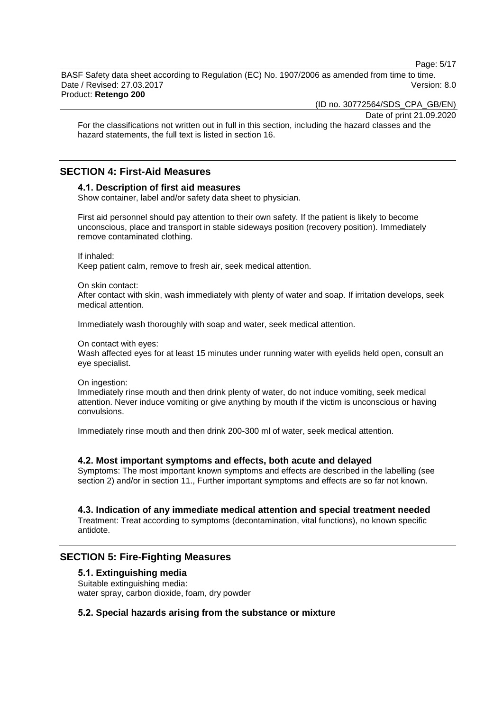Page: 5/17

BASF Safety data sheet according to Regulation (EC) No. 1907/2006 as amended from time to time. Date / Revised: 27.03.2017 Version: 8.0 Product: **Retengo 200**

(ID no. 30772564/SDS\_CPA\_GB/EN)

Date of print 21.09.2020

For the classifications not written out in full in this section, including the hazard classes and the hazard statements, the full text is listed in section 16.

### **SECTION 4: First-Aid Measures**

#### **4.1. Description of first aid measures**

Show container, label and/or safety data sheet to physician.

First aid personnel should pay attention to their own safety. If the patient is likely to become unconscious, place and transport in stable sideways position (recovery position). Immediately remove contaminated clothing.

If inhaled:

Keep patient calm, remove to fresh air, seek medical attention.

On skin contact:

After contact with skin, wash immediately with plenty of water and soap. If irritation develops, seek medical attention.

Immediately wash thoroughly with soap and water, seek medical attention.

#### On contact with eyes:

Wash affected eyes for at least 15 minutes under running water with eyelids held open, consult an eye specialist.

On ingestion:

Immediately rinse mouth and then drink plenty of water, do not induce vomiting, seek medical attention. Never induce vomiting or give anything by mouth if the victim is unconscious or having convulsions.

Immediately rinse mouth and then drink 200-300 ml of water, seek medical attention.

#### **4.2. Most important symptoms and effects, both acute and delayed**

Symptoms: The most important known symptoms and effects are described in the labelling (see section 2) and/or in section 11., Further important symptoms and effects are so far not known.

### **4.3. Indication of any immediate medical attention and special treatment needed**

Treatment: Treat according to symptoms (decontamination, vital functions), no known specific antidote.

### **SECTION 5: Fire-Fighting Measures**

#### **5.1. Extinguishing media**

Suitable extinguishing media: water spray, carbon dioxide, foam, dry powder

### **5.2. Special hazards arising from the substance or mixture**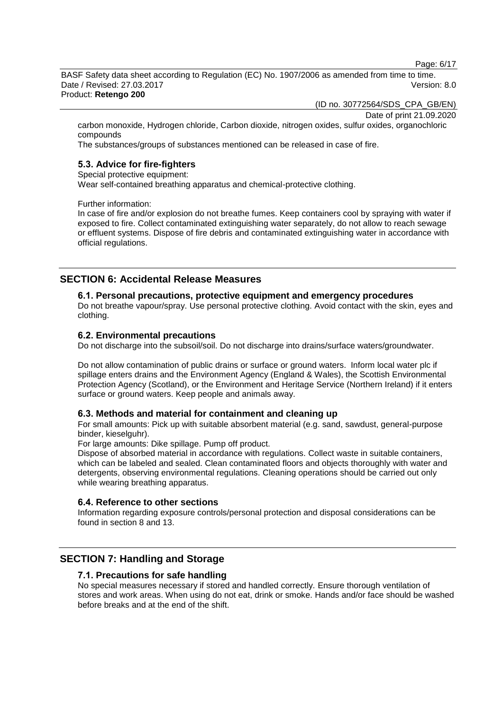Page: 6/17

BASF Safety data sheet according to Regulation (EC) No. 1907/2006 as amended from time to time. Date / Revised: 27.03.2017 Version: 8.0 Product: **Retengo 200**

(ID no. 30772564/SDS\_CPA\_GB/EN)

Date of print 21.09.2020

carbon monoxide, Hydrogen chloride, Carbon dioxide, nitrogen oxides, sulfur oxides, organochloric compounds

The substances/groups of substances mentioned can be released in case of fire.

### **5.3. Advice for fire-fighters**

Special protective equipment:

Wear self-contained breathing apparatus and chemical-protective clothing.

Further information:

In case of fire and/or explosion do not breathe fumes. Keep containers cool by spraying with water if exposed to fire. Collect contaminated extinguishing water separately, do not allow to reach sewage or effluent systems. Dispose of fire debris and contaminated extinguishing water in accordance with official regulations.

### **SECTION 6: Accidental Release Measures**

#### **6.1. Personal precautions, protective equipment and emergency procedures**

Do not breathe vapour/spray. Use personal protective clothing. Avoid contact with the skin, eyes and clothing.

#### **6.2. Environmental precautions**

Do not discharge into the subsoil/soil. Do not discharge into drains/surface waters/groundwater.

Do not allow contamination of public drains or surface or ground waters. Inform local water plc if spillage enters drains and the Environment Agency (England & Wales), the Scottish Environmental Protection Agency (Scotland), or the Environment and Heritage Service (Northern Ireland) if it enters surface or ground waters. Keep people and animals away.

#### **6.3. Methods and material for containment and cleaning up**

For small amounts: Pick up with suitable absorbent material (e.g. sand, sawdust, general-purpose binder, kieselguhr).

For large amounts: Dike spillage. Pump off product.

Dispose of absorbed material in accordance with regulations. Collect waste in suitable containers, which can be labeled and sealed. Clean contaminated floors and objects thoroughly with water and detergents, observing environmental regulations. Cleaning operations should be carried out only while wearing breathing apparatus.

#### **6.4. Reference to other sections**

Information regarding exposure controls/personal protection and disposal considerations can be found in section 8 and 13.

### **SECTION 7: Handling and Storage**

#### **7.1. Precautions for safe handling**

No special measures necessary if stored and handled correctly. Ensure thorough ventilation of stores and work areas. When using do not eat, drink or smoke. Hands and/or face should be washed before breaks and at the end of the shift.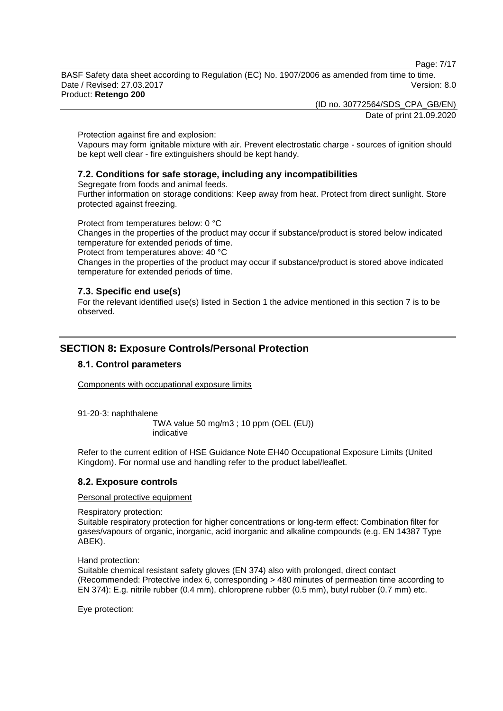Page: 7/17

BASF Safety data sheet according to Regulation (EC) No. 1907/2006 as amended from time to time. Date / Revised: 27.03.2017 Version: 8.0 Product: **Retengo 200**

> (ID no. 30772564/SDS\_CPA\_GB/EN) Date of print 21.09.2020

Protection against fire and explosion:

Vapours may form ignitable mixture with air. Prevent electrostatic charge - sources of ignition should be kept well clear - fire extinguishers should be kept handy.

### **7.2. Conditions for safe storage, including any incompatibilities**

Segregate from foods and animal feeds.

Further information on storage conditions: Keep away from heat. Protect from direct sunlight. Store protected against freezing.

Protect from temperatures below: 0 °C

Changes in the properties of the product may occur if substance/product is stored below indicated temperature for extended periods of time.

Protect from temperatures above: 40 °C

Changes in the properties of the product may occur if substance/product is stored above indicated temperature for extended periods of time.

### **7.3. Specific end use(s)**

For the relevant identified use(s) listed in Section 1 the advice mentioned in this section 7 is to be observed.

### **SECTION 8: Exposure Controls/Personal Protection**

### **8.1. Control parameters**

Components with occupational exposure limits

91-20-3: naphthalene

TWA value 50 mg/m3 ; 10 ppm (OEL (EU)) indicative

Refer to the current edition of HSE Guidance Note EH40 Occupational Exposure Limits (United Kingdom). For normal use and handling refer to the product label/leaflet.

### **8.2. Exposure controls**

Personal protective equipment

Respiratory protection:

Suitable respiratory protection for higher concentrations or long-term effect: Combination filter for gases/vapours of organic, inorganic, acid inorganic and alkaline compounds (e.g. EN 14387 Type ABEK).

Hand protection:

Suitable chemical resistant safety gloves (EN 374) also with prolonged, direct contact (Recommended: Protective index 6, corresponding > 480 minutes of permeation time according to EN 374): E.g. nitrile rubber (0.4 mm), chloroprene rubber (0.5 mm), butyl rubber (0.7 mm) etc.

Eye protection: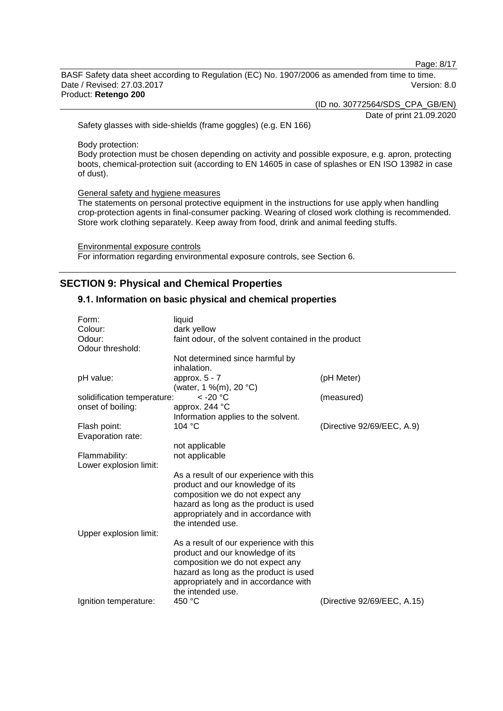Page: 8/17

BASF Safety data sheet according to Regulation (EC) No. 1907/2006 as amended from time to time. Date / Revised: 27.03.2017 Version: 8.0 Product: **Retengo 200**

(ID no. 30772564/SDS\_CPA\_GB/EN)

Date of print 21.09.2020

Safety glasses with side-shields (frame goggles) (e.g. EN 166)

Body protection:

Body protection must be chosen depending on activity and possible exposure, e.g. apron, protecting boots, chemical-protection suit (according to EN 14605 in case of splashes or EN ISO 13982 in case of dust).

General safety and hygiene measures

The statements on personal protective equipment in the instructions for use apply when handling crop-protection agents in final-consumer packing. Wearing of closed work clothing is recommended. Store work clothing separately. Keep away from food, drink and animal feeding stuffs.

Environmental exposure controls For information regarding environmental exposure controls, see Section 6.

### **SECTION 9: Physical and Chemical Properties**

### **9.1. Information on basic physical and chemical properties**

| Form:                       | liquid                                               |                             |
|-----------------------------|------------------------------------------------------|-----------------------------|
| Colour:                     | dark yellow                                          |                             |
| Odour:                      | faint odour, of the solvent contained in the product |                             |
| Odour threshold:            |                                                      |                             |
|                             | Not determined since harmful by                      |                             |
|                             | inhalation.                                          |                             |
| pH value:                   | approx. $5 - 7$                                      | (pH Meter)                  |
|                             | (water, 1 %(m), 20 °C)                               |                             |
| solidification temperature: | $<$ -20 $^{\circ}$ C                                 | (measured)                  |
| onset of boiling:           | approx. 244 °C                                       |                             |
|                             | Information applies to the solvent.                  |                             |
| Flash point:                | 104 °C                                               | (Directive 92/69/EEC, A.9)  |
| Evaporation rate:           |                                                      |                             |
|                             | not applicable                                       |                             |
| Flammability:               | not applicable                                       |                             |
| Lower explosion limit:      |                                                      |                             |
|                             | As a result of our experience with this              |                             |
|                             | product and our knowledge of its                     |                             |
|                             | composition we do not expect any                     |                             |
|                             | hazard as long as the product is used                |                             |
|                             | appropriately and in accordance with                 |                             |
|                             | the intended use.                                    |                             |
| Upper explosion limit:      |                                                      |                             |
|                             | As a result of our experience with this              |                             |
|                             | product and our knowledge of its                     |                             |
|                             | composition we do not expect any                     |                             |
|                             | hazard as long as the product is used                |                             |
|                             | appropriately and in accordance with                 |                             |
|                             |                                                      |                             |
|                             | the intended use.                                    |                             |
| Ignition temperature:       | 450 °C                                               | (Directive 92/69/EEC, A.15) |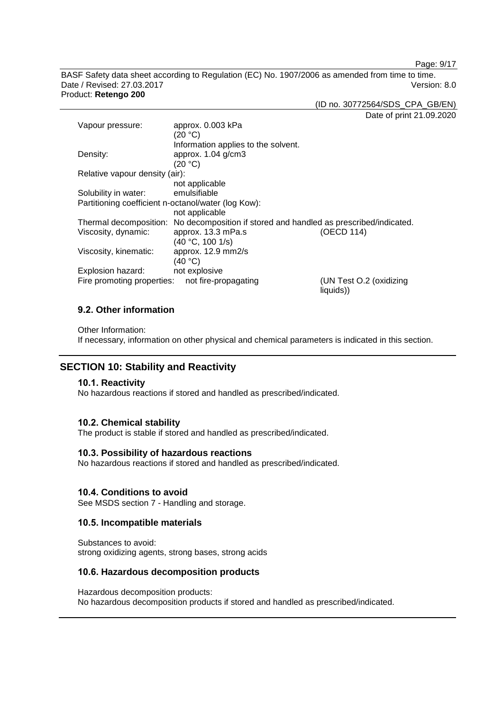Page: 9/17

BASF Safety data sheet according to Regulation (EC) No. 1907/2006 as amended from time to time. Date / Revised: 27.03.2017 Version: 8.0 Product: **Retengo 200**

(ID no. 30772564/SDS\_CPA\_GB/EN)

Date of print 21.09.2020

| Vapour pressure:                                    | approx. 0.003 kPa                                                                      |                                      |
|-----------------------------------------------------|----------------------------------------------------------------------------------------|--------------------------------------|
|                                                     | (20 °C)                                                                                |                                      |
|                                                     | Information applies to the solvent.                                                    |                                      |
| Density:                                            | approx. 1.04 g/cm3                                                                     |                                      |
|                                                     | (20 °C)                                                                                |                                      |
| Relative vapour density (air):                      |                                                                                        |                                      |
|                                                     | not applicable                                                                         |                                      |
| Solubility in water:                                | emulsifiable                                                                           |                                      |
| Partitioning coefficient n-octanol/water (log Kow): |                                                                                        |                                      |
|                                                     | not applicable                                                                         |                                      |
|                                                     | Thermal decomposition: No decomposition if stored and handled as prescribed/indicated. |                                      |
| Viscosity, dynamic:                                 | approx. 13.3 mPa.s                                                                     | (OECD 114)                           |
|                                                     | (40 °C, 100 1/s)                                                                       |                                      |
| Viscosity, kinematic:                               | approx. 12.9 mm2/s                                                                     |                                      |
|                                                     | (40 °C)                                                                                |                                      |
| Explosion hazard:                                   | not explosive                                                                          |                                      |
| Fire promoting properties:                          | not fire-propagating                                                                   | (UN Test O.2 (oxidizing<br>liquids)) |

### **9.2. Other information**

Other Information:

If necessary, information on other physical and chemical parameters is indicated in this section.

### **SECTION 10: Stability and Reactivity**

#### **10.1. Reactivity**

No hazardous reactions if stored and handled as prescribed/indicated.

#### **10.2. Chemical stability**

The product is stable if stored and handled as prescribed/indicated.

#### **10.3. Possibility of hazardous reactions**

No hazardous reactions if stored and handled as prescribed/indicated.

#### **10.4. Conditions to avoid**

See MSDS section 7 - Handling and storage.

#### **10.5. Incompatible materials**

Substances to avoid: strong oxidizing agents, strong bases, strong acids

#### **10.6. Hazardous decomposition products**

Hazardous decomposition products: No hazardous decomposition products if stored and handled as prescribed/indicated.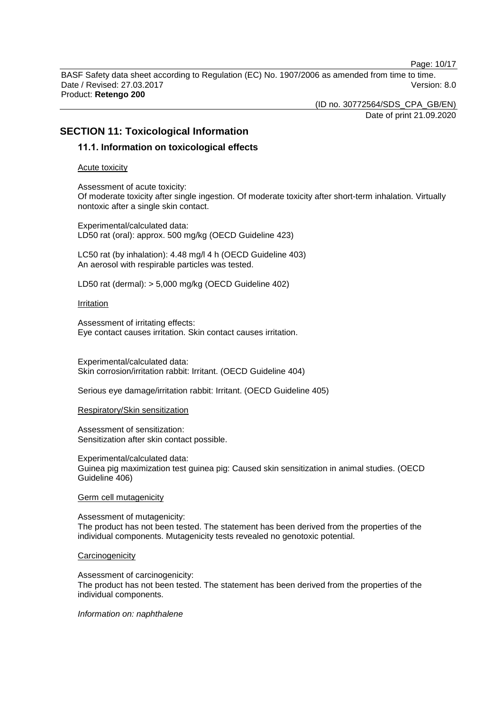Page: 10/17

BASF Safety data sheet according to Regulation (EC) No. 1907/2006 as amended from time to time. Date / Revised: 27.03.2017 Version: 8.0 Product: **Retengo 200**

> (ID no. 30772564/SDS\_CPA\_GB/EN) Date of print 21.09.2020

### **SECTION 11: Toxicological Information**

### **11.1. Information on toxicological effects**

Acute toxicity

Assessment of acute toxicity: Of moderate toxicity after single ingestion. Of moderate toxicity after short-term inhalation. Virtually nontoxic after a single skin contact.

Experimental/calculated data: LD50 rat (oral): approx. 500 mg/kg (OECD Guideline 423)

LC50 rat (by inhalation): 4.48 mg/l 4 h (OECD Guideline 403) An aerosol with respirable particles was tested.

LD50 rat (dermal): > 5,000 mg/kg (OECD Guideline 402)

#### Irritation

Assessment of irritating effects: Eye contact causes irritation. Skin contact causes irritation.

Experimental/calculated data: Skin corrosion/irritation rabbit: Irritant. (OECD Guideline 404)

Serious eye damage/irritation rabbit: Irritant. (OECD Guideline 405)

#### Respiratory/Skin sensitization

Assessment of sensitization: Sensitization after skin contact possible.

Experimental/calculated data: Guinea pig maximization test guinea pig: Caused skin sensitization in animal studies. (OECD Guideline 406)

#### Germ cell mutagenicity

Assessment of mutagenicity: The product has not been tested. The statement has been derived from the properties of the individual components. Mutagenicity tests revealed no genotoxic potential.

#### **Carcinogenicity**

Assessment of carcinogenicity: The product has not been tested. The statement has been derived from the properties of the individual components.

#### *Information on: naphthalene*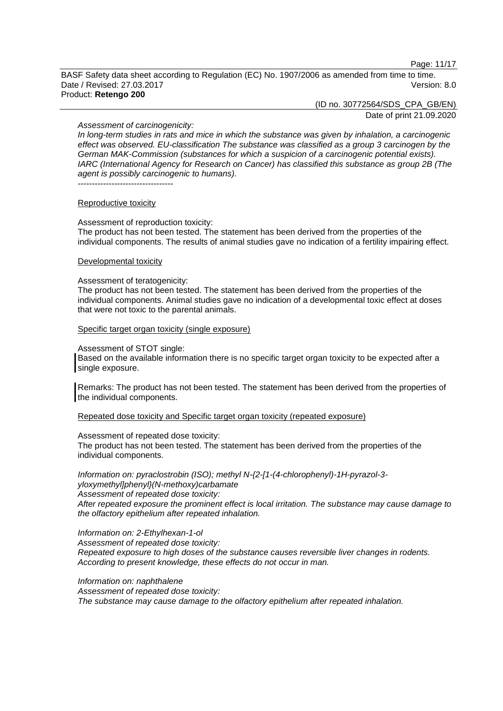Page: 11/17

BASF Safety data sheet according to Regulation (EC) No. 1907/2006 as amended from time to time. Date / Revised: 27.03.2017 Version: 8.0 Product: **Retengo 200**

(ID no. 30772564/SDS\_CPA\_GB/EN)

Date of print 21.09.2020

#### *Assessment of carcinogenicity:*

*In long-term studies in rats and mice in which the substance was given by inhalation, a carcinogenic effect was observed. EU-classification The substance was classified as a group 3 carcinogen by the German MAK-Commission (substances for which a suspicion of a carcinogenic potential exists). IARC (International Agency for Research on Cancer) has classified this substance as group 2B (The agent is possibly carcinogenic to humans).* ----------------------------------

#### Reproductive toxicity

Assessment of reproduction toxicity: The product has not been tested. The statement has been derived from the properties of the individual components. The results of animal studies gave no indication of a fertility impairing effect.

#### Developmental toxicity

#### Assessment of teratogenicity:

The product has not been tested. The statement has been derived from the properties of the individual components. Animal studies gave no indication of a developmental toxic effect at doses that were not toxic to the parental animals.

#### Specific target organ toxicity (single exposure)

#### Assessment of STOT single:

Based on the available information there is no specific target organ toxicity to be expected after a single exposure.

Remarks: The product has not been tested. The statement has been derived from the properties of the individual components.

Repeated dose toxicity and Specific target organ toxicity (repeated exposure)

#### Assessment of repeated dose toxicity:

The product has not been tested. The statement has been derived from the properties of the individual components.

*Information on: pyraclostrobin (ISO); methyl N-{2-[1-(4-chlorophenyl)-1H-pyrazol-3 yloxymethyl]phenyl}(N-methoxy)carbamate Assessment of repeated dose toxicity:*

*After repeated exposure the prominent effect is local irritation. The substance may cause damage to the olfactory epithelium after repeated inhalation.*

#### *Information on: 2-Ethylhexan-1-ol*

*Assessment of repeated dose toxicity: Repeated exposure to high doses of the substance causes reversible liver changes in rodents. According to present knowledge, these effects do not occur in man.*

*Information on: naphthalene*

*Assessment of repeated dose toxicity:*

*The substance may cause damage to the olfactory epithelium after repeated inhalation.*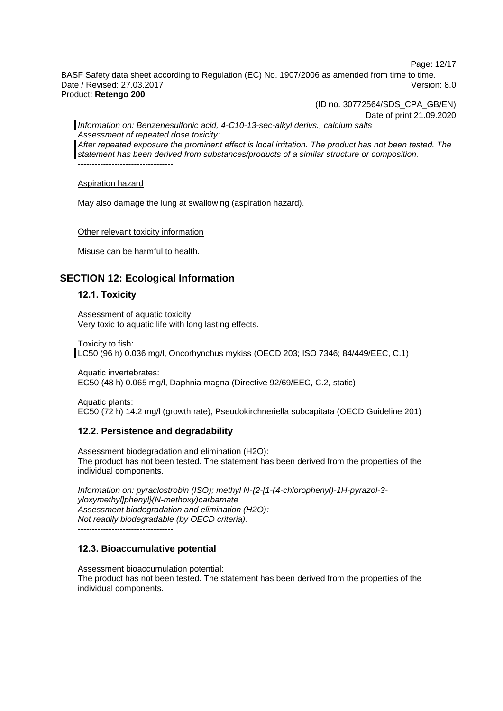Page: 12/17

BASF Safety data sheet according to Regulation (EC) No. 1907/2006 as amended from time to time. Date / Revised: 27.03.2017 Version: 8.0 Product: **Retengo 200**

(ID no. 30772564/SDS\_CPA\_GB/EN)

Date of print 21.09.2020 *Information on: Benzenesulfonic acid, 4-C10-13-sec-alkyl derivs., calcium salts Assessment of repeated dose toxicity: After repeated exposure the prominent effect is local irritation. The product has not been tested. The statement has been derived from substances/products of a similar structure or composition.*

----------------------------------

Aspiration hazard

May also damage the lung at swallowing (aspiration hazard).

Other relevant toxicity information

Misuse can be harmful to health.

### **SECTION 12: Ecological Information**

### **12.1. Toxicity**

Assessment of aquatic toxicity: Very toxic to aquatic life with long lasting effects.

Toxicity to fish:

LC50 (96 h) 0.036 mg/l, Oncorhynchus mykiss (OECD 203; ISO 7346; 84/449/EEC, C.1)

Aquatic invertebrates: EC50 (48 h) 0.065 mg/l, Daphnia magna (Directive 92/69/EEC, C.2, static)

Aquatic plants: EC50 (72 h) 14.2 mg/l (growth rate), Pseudokirchneriella subcapitata (OECD Guideline 201)

#### **12.2. Persistence and degradability**

Assessment biodegradation and elimination (H2O): The product has not been tested. The statement has been derived from the properties of the individual components.

*Information on: pyraclostrobin (ISO); methyl N-{2-[1-(4-chlorophenyl)-1H-pyrazol-3 yloxymethyl]phenyl}(N-methoxy)carbamate Assessment biodegradation and elimination (H2O): Not readily biodegradable (by OECD criteria).*

----------------------------------

### **12.3. Bioaccumulative potential**

Assessment bioaccumulation potential: The product has not been tested. The statement has been derived from the properties of the individual components.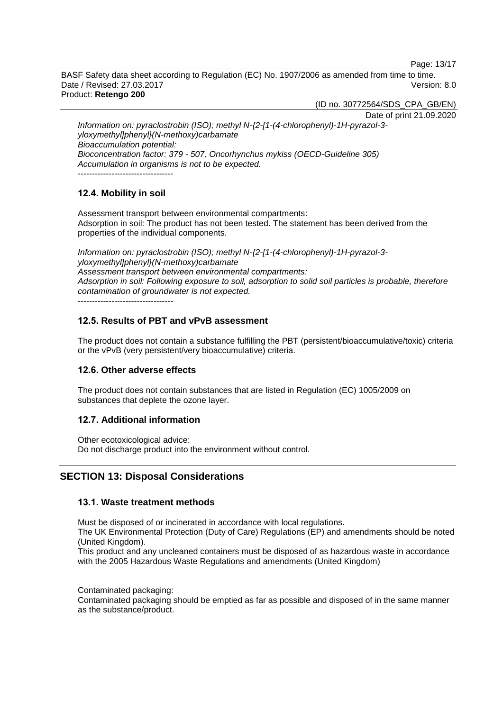Page: 13/17

BASF Safety data sheet according to Regulation (EC) No. 1907/2006 as amended from time to time. Date / Revised: 27.03.2017 Version: 8.0 Product: **Retengo 200**

(ID no. 30772564/SDS\_CPA\_GB/EN)

Date of print 21.09.2020

*Information on: pyraclostrobin (ISO); methyl N-{2-[1-(4-chlorophenyl)-1H-pyrazol-3 yloxymethyl]phenyl}(N-methoxy)carbamate Bioaccumulation potential: Bioconcentration factor: 379 - 507, Oncorhynchus mykiss (OECD-Guideline 305) Accumulation in organisms is not to be expected.* ----------------------------------

### **12.4. Mobility in soil**

Assessment transport between environmental compartments: Adsorption in soil: The product has not been tested. The statement has been derived from the properties of the individual components.

*Information on: pyraclostrobin (ISO); methyl N-{2-[1-(4-chlorophenyl)-1H-pyrazol-3 yloxymethyl]phenyl}(N-methoxy)carbamate Assessment transport between environmental compartments: Adsorption in soil: Following exposure to soil, adsorption to solid soil particles is probable, therefore contamination of groundwater is not expected.*

----------------------------------

### **12.5. Results of PBT and vPvB assessment**

The product does not contain a substance fulfilling the PBT (persistent/bioaccumulative/toxic) criteria or the vPvB (very persistent/very bioaccumulative) criteria.

### **12.6. Other adverse effects**

The product does not contain substances that are listed in Regulation (EC) 1005/2009 on substances that deplete the ozone layer.

### **12.7. Additional information**

Other ecotoxicological advice: Do not discharge product into the environment without control.

### **SECTION 13: Disposal Considerations**

### **13.1. Waste treatment methods**

Must be disposed of or incinerated in accordance with local regulations.

The UK Environmental Protection (Duty of Care) Regulations (EP) and amendments should be noted (United Kingdom).

This product and any uncleaned containers must be disposed of as hazardous waste in accordance with the 2005 Hazardous Waste Regulations and amendments (United Kingdom)

Contaminated packaging:

Contaminated packaging should be emptied as far as possible and disposed of in the same manner as the substance/product.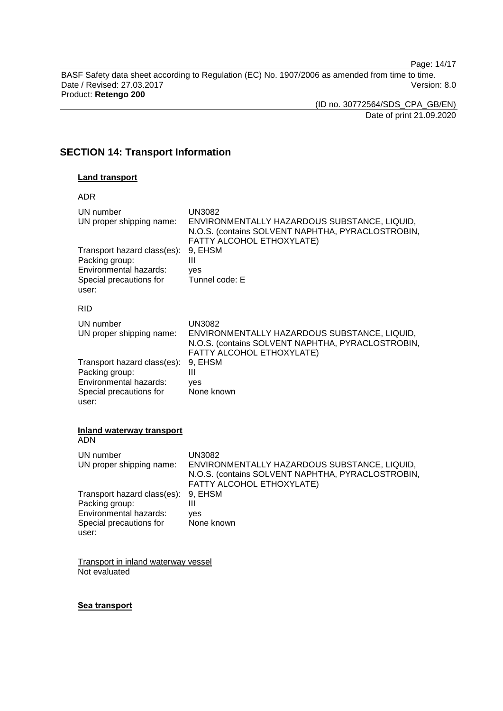Page: 14/17

BASF Safety data sheet according to Regulation (EC) No. 1907/2006 as amended from time to time. Date / Revised: 27.03.2017 **Version: 8.0** Product: **Retengo 200**

(ID no. 30772564/SDS\_CPA\_GB/EN) Date of print 21.09.2020

### **SECTION 14: Transport Information**

#### **Land transport**

| <b>ADR</b>                                                                                                  |                                                                                                                                                                 |
|-------------------------------------------------------------------------------------------------------------|-----------------------------------------------------------------------------------------------------------------------------------------------------------------|
| UN number<br>UN proper shipping name:<br>Transport hazard class(es):<br>Packing group:                      | <b>UN3082</b><br>ENVIRONMENTALLY HAZARDOUS SUBSTANCE, LIQUID,<br>N.O.S. (contains SOLVENT NAPHTHA, PYRACLOSTROBIN,<br>FATTY ALCOHOL ETHOXYLATE)<br>9. EHSM<br>Ш |
| Environmental hazards:<br>Special precautions for<br>user:                                                  | yes<br>Tunnel code: E                                                                                                                                           |
| <b>RID</b>                                                                                                  |                                                                                                                                                                 |
| UN number<br>UN proper shipping name:                                                                       | <b>UN3082</b><br>ENVIRONMENTALLY HAZARDOUS SUBSTANCE, LIQUID,<br>N.O.S. (contains SOLVENT NAPHTHA, PYRACLOSTROBIN,<br>FATTY ALCOHOL ETHOXYLATE)                 |
| Transport hazard class(es):<br>Packing group:<br>Environmental hazards:<br>Special precautions for<br>user: | 9, EHSM<br>Ш<br>yes<br>None known                                                                                                                               |

#### **Inland waterway transport** ADN

| UN number<br>UN proper shipping name:                                                                       | UN3082<br>ENVIRONMENTALLY HAZARDOUS SUBSTANCE, LIQUID,<br>N.O.S. (contains SOLVENT NAPHTHA, PYRACLOSTROBIN,<br>FATTY ALCOHOL ETHOXYLATE) |
|-------------------------------------------------------------------------------------------------------------|------------------------------------------------------------------------------------------------------------------------------------------|
| Transport hazard class(es):<br>Packing group:<br>Environmental hazards:<br>Special precautions for<br>user: | 9. EHSM<br>Ш<br>ves<br>None known                                                                                                        |

Transport in inland waterway vessel Not evaluated

#### **Sea transport**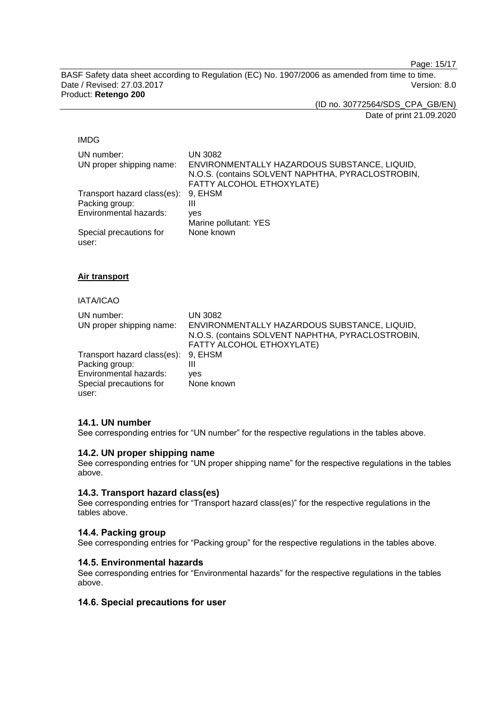Page: 15/17

BASF Safety data sheet according to Regulation (EC) No. 1907/2006 as amended from time to time. Date / Revised: 27.03.2017 Version: 8.0 Product: **Retengo 200**

(ID no. 30772564/SDS\_CPA\_GB/EN)

Date of print 21.09.2020

#### IMDG

| UN number:<br>UN proper shipping name: | <b>UN 3082</b><br>ENVIRONMENTALLY HAZARDOUS SUBSTANCE, LIQUID,<br>N.O.S. (contains SOLVENT NAPHTHA, PYRACLOSTROBIN,<br>FATTY ALCOHOL ETHOXYLATE) |
|----------------------------------------|--------------------------------------------------------------------------------------------------------------------------------------------------|
| Transport hazard class(es): 9, EHSM    |                                                                                                                                                  |
| Packing group:                         | Ш                                                                                                                                                |
| Environmental hazards:                 | ves                                                                                                                                              |
|                                        | Marine pollutant: YES                                                                                                                            |
| Special precautions for                | None known                                                                                                                                       |

**Air transport**

user:

### IATA/ICAO

| UN number:<br>UN proper shipping name: | <b>UN 3082</b><br>ENVIRONMENTALLY HAZARDOUS SUBSTANCE, LIQUID,<br>N.O.S. (contains SOLVENT NAPHTHA, PYRACLOSTROBIN,<br>FATTY ALCOHOL ETHOXYLATE) |
|----------------------------------------|--------------------------------------------------------------------------------------------------------------------------------------------------|
| Transport hazard class(es): 9, EHSM    |                                                                                                                                                  |
| Packing group:                         | Ш                                                                                                                                                |
| Environmental hazards:                 | ves                                                                                                                                              |
| Special precautions for<br>user:       | None known                                                                                                                                       |

### **14.1. UN number**

See corresponding entries for "UN number" for the respective regulations in the tables above.

### **14.2. UN proper shipping name**

See corresponding entries for "UN proper shipping name" for the respective regulations in the tables above.

### **14.3. Transport hazard class(es)**

See corresponding entries for "Transport hazard class(es)" for the respective regulations in the tables above.

#### **14.4. Packing group**

See corresponding entries for "Packing group" for the respective regulations in the tables above.

#### **14.5. Environmental hazards**

See corresponding entries for "Environmental hazards" for the respective regulations in the tables above.

### **14.6. Special precautions for user**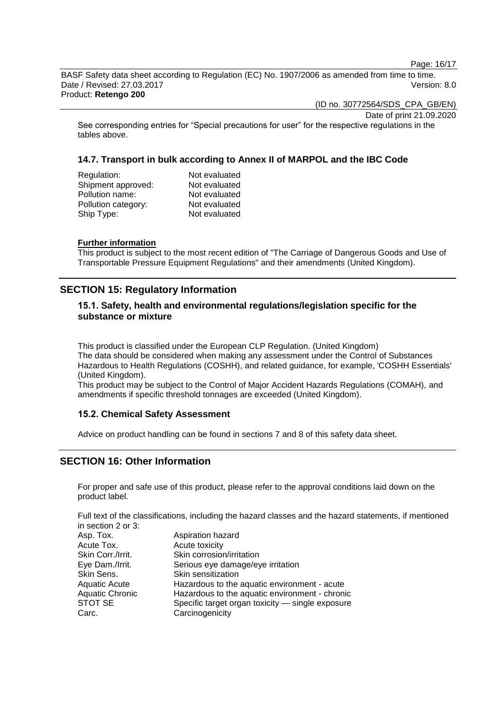Page: 16/17

BASF Safety data sheet according to Regulation (EC) No. 1907/2006 as amended from time to time. Date / Revised: 27.03.2017 Version: 8.0 Product: **Retengo 200**

(ID no. 30772564/SDS\_CPA\_GB/EN)

Date of print 21.09.2020

See corresponding entries for "Special precautions for user" for the respective regulations in the tables above.

### **14.7. Transport in bulk according to Annex II of MARPOL and the IBC Code**

| Regulation:         | Not evaluated |
|---------------------|---------------|
| Shipment approved:  | Not evaluated |
| Pollution name:     | Not evaluated |
| Pollution category: | Not evaluated |
| Ship Type:          | Not evaluated |
|                     |               |

#### **Further information**

This product is subject to the most recent edition of "The Carriage of Dangerous Goods and Use of Transportable Pressure Equipment Regulations" and their amendments (United Kingdom).

### **SECTION 15: Regulatory Information**

### **15.1. Safety, health and environmental regulations/legislation specific for the substance or mixture**

This product is classified under the European CLP Regulation. (United Kingdom) The data should be considered when making any assessment under the Control of Substances Hazardous to Health Regulations (COSHH), and related guidance, for example, 'COSHH Essentials' (United Kingdom).

This product may be subject to the Control of Major Accident Hazards Regulations (COMAH), and amendments if specific threshold tonnages are exceeded (United Kingdom).

### **15.2. Chemical Safety Assessment**

Advice on product handling can be found in sections 7 and 8 of this safety data sheet.

### **SECTION 16: Other Information**

For proper and safe use of this product, please refer to the approval conditions laid down on the product label.

Full text of the classifications, including the hazard classes and the hazard statements, if mentioned in section 2 or 3:

| Aspiration hazard                                |
|--------------------------------------------------|
| Acute toxicity                                   |
| Skin corrosion/irritation                        |
| Serious eye damage/eye irritation                |
| Skin sensitization                               |
| Hazardous to the aquatic environment - acute     |
| Hazardous to the aquatic environment - chronic   |
| Specific target organ toxicity - single exposure |
| Carcinogenicity                                  |
|                                                  |